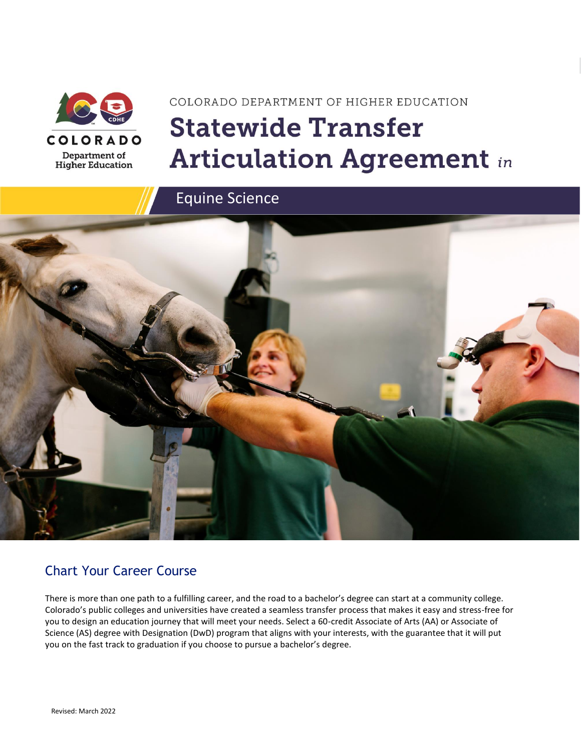

# COLORADO DEPARTMENT OF HIGHER EDUCATION **Statewide Transfer Articulation Agreement in**



### Chart Your Career Course

There is more than one path to a fulfilling career, and the road to a bachelor's degree can start at a community college. Colorado's public colleges and universities have created a seamless transfer process that makes it easy and stress-free for you to design an education journey that will meet your needs. Select a 60-credit Associate of Arts (AA) or Associate of Science (AS) degree with Designation (DwD) program that aligns with your interests, with the guarantee that it will put you on the fast track to graduation if you choose to pursue a bachelor's degree.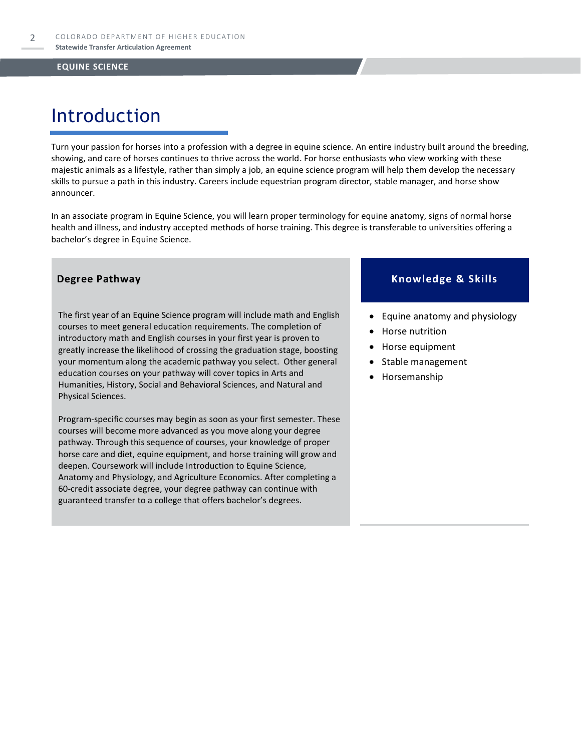### Introduction

Turn your passion for horses into a profession with a degree in equine science. An entire industry built around the breeding, showing, and care of horses continues to thrive across the world. For horse enthusiasts who view working with these majestic animals as a lifestyle, rather than simply a job, an equine science program will help them develop the necessary skills to pursue a path in this industry. Careers include equestrian program director, stable manager, and horse show announcer.

In an associate program in Equine Science, you will learn proper terminology for equine anatomy, signs of normal horse health and illness, and industry accepted methods of horse training. This degree is transferable to universities offering a bachelor's degree in Equine Science.

The first year of an Equine Science program will include math and English courses to meet general education requirements. The completion of introductory math and English courses in your first year is proven to greatly increase the likelihood of crossing the graduation stage, boosting your momentum along the academic pathway you select. Other general education courses on your pathway will cover topics in Arts and Humanities, History, Social and Behavioral Sciences, and Natural and Physical Sciences.

Program-specific courses may begin as soon as your first semester. These courses will become more advanced as you move along your degree pathway. Through this sequence of courses, your knowledge of proper horse care and diet, equine equipment, and horse training will grow and deepen. Coursework will include Introduction to Equine Science, Anatomy and Physiology, and Agriculture Economics. After completing a 60-credit associate degree, your degree pathway can continue with guaranteed transfer to a college that offers bachelor's degrees.

### **Degree Pathway Knowledge & Skills**

- Equine anatomy and physiology
- Horse nutrition
- Horse equipment
- Stable management
- Horsemanship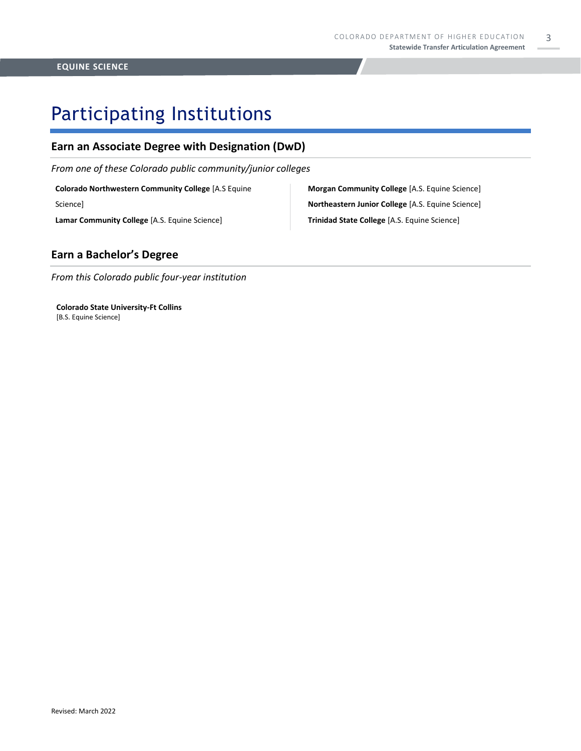## Participating Institutions

### **Earn an Associate Degree with Designation (DwD)**

*From one of these Colorado public community/junior colleges*

**Colorado Northwestern Community College** [A.S Equine

Science]

**Lamar Community College** [A.S. Equine Science]

**Morgan Community College** [A.S. Equine Science] **Northeastern Junior College** [A.S. Equine Science] **Trinidad State College** [A.S. Equine Science]

### **Earn a Bachelor's Degree**

*From this Colorado public four-year institution*

**Colorado State University-Ft Collins**  [B.S. Equine Science]

#### 3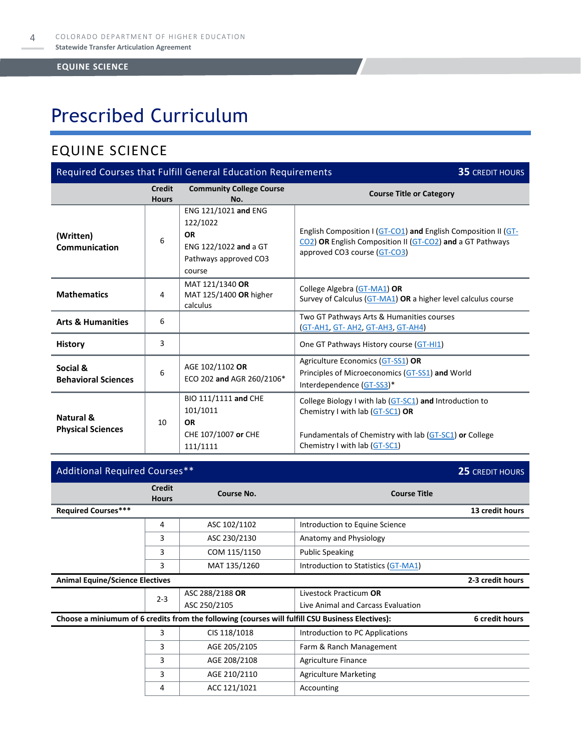# Prescribed Curriculum

### EQUINE SCIENCE

| Required Courses that Fulfill General Education Requirements<br><b>35 CREDIT HOURS</b> |                        |                                                                                                           |                                                                                                                                                                                        |  |  |
|----------------------------------------------------------------------------------------|------------------------|-----------------------------------------------------------------------------------------------------------|----------------------------------------------------------------------------------------------------------------------------------------------------------------------------------------|--|--|
|                                                                                        | Credit<br><b>Hours</b> | <b>Community College Course</b><br>No.                                                                    | <b>Course Title or Category</b>                                                                                                                                                        |  |  |
| (Written)<br>Communication                                                             | 6                      | ENG 121/1021 and ENG<br>122/1022<br><b>OR</b><br>ENG 122/1022 and a GT<br>Pathways approved CO3<br>course | English Composition I (GT-CO1) and English Composition II (GT-<br>CO2) OR English Composition II (GT-CO2) and a GT Pathways<br>approved CO3 course (GT-CO3)                            |  |  |
| <b>Mathematics</b>                                                                     | 4                      | MAT 121/1340 OR<br>MAT 125/1400 OR higher<br>calculus                                                     | College Algebra (GT-MA1) OR<br>Survey of Calculus (GT-MA1) OR a higher level calculus course                                                                                           |  |  |
| <b>Arts &amp; Humanities</b>                                                           | 6                      |                                                                                                           | Two GT Pathways Arts & Humanities courses<br>(GT-AH1, GT-AH2, GT-AH3, GT-AH4)                                                                                                          |  |  |
| <b>History</b>                                                                         | 3                      |                                                                                                           | One GT Pathways History course (GT-HI1)                                                                                                                                                |  |  |
| Social &<br><b>Behavioral Sciences</b>                                                 | 6                      | AGE 102/1102 OR<br>ECO 202 and AGR 260/2106*                                                              | Agriculture Economics (GT-SS1) OR<br>Principles of Microeconomics (GT-SS1) and World<br>Interdependence (GT-SS3)*                                                                      |  |  |
| Natural &<br><b>Physical Sciences</b>                                                  | 10                     | BIO 111/1111 and CHE<br>101/1011<br><b>OR</b><br>CHE 107/1007 or CHE<br>111/1111                          | College Biology I with lab (GT-SC1) and Introduction to<br>Chemistry I with lab (GT-SC1) OR<br>Fundamentals of Chemistry with lab (GT-SC1) or College<br>Chemistry I with lab (GT-SC1) |  |  |

| Additional Required Courses**          |                               |                                                                                                  |                                                              | 25 CREDIT HOURS  |
|----------------------------------------|-------------------------------|--------------------------------------------------------------------------------------------------|--------------------------------------------------------------|------------------|
|                                        | <b>Credit</b><br><b>Hours</b> | Course No.                                                                                       | <b>Course Title</b>                                          |                  |
| <b>Required Courses***</b>             |                               |                                                                                                  |                                                              | 13 credit hours  |
|                                        | 4                             | ASC 102/1102                                                                                     | Introduction to Equine Science                               |                  |
|                                        | 3                             | ASC 230/2130                                                                                     | Anatomy and Physiology                                       |                  |
|                                        | 3                             | COM 115/1150                                                                                     | <b>Public Speaking</b>                                       |                  |
|                                        | 3                             | MAT 135/1260                                                                                     | Introduction to Statistics (GT-MA1)                          |                  |
| <b>Animal Equine/Science Electives</b> |                               |                                                                                                  |                                                              | 2-3 credit hours |
|                                        | $2 - 3$                       | ASC 288/2188 OR<br>ASC 250/2105                                                                  | Livestock Practicum OR<br>Live Animal and Carcass Evaluation |                  |
|                                        |                               | Choose a miniumum of 6 credits from the following (courses will fulfill CSU Business Electives): |                                                              | 6 credit hours   |
|                                        | 3                             | CIS 118/1018                                                                                     | Introduction to PC Applications                              |                  |
|                                        | 3                             | AGE 205/2105                                                                                     | Farm & Ranch Management                                      |                  |
|                                        | 3                             | AGE 208/2108                                                                                     | Agriculture Finance                                          |                  |
|                                        | 3                             | AGE 210/2110                                                                                     | <b>Agriculture Marketing</b>                                 |                  |
|                                        | 4                             | ACC 121/1021                                                                                     | Accounting                                                   |                  |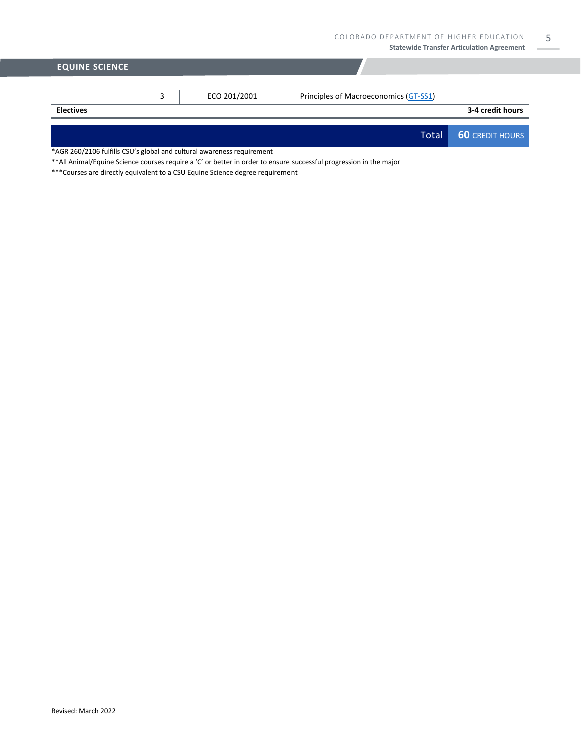| <b>EQUINE SCIENCE</b> |              |                                       |                        |
|-----------------------|--------------|---------------------------------------|------------------------|
|                       |              |                                       |                        |
|                       | ECO 201/2001 | Principles of Macroeconomics (GT-SS1) |                        |
| <b>Electives</b>      |              |                                       | 3-4 credit hours       |
|                       |              |                                       |                        |
|                       |              | <b>Total</b>                          | <b>60 CREDIT HOURS</b> |

\*AGR 260/2106 fulfills CSU's global and cultural awareness requirement

\*\*All Animal/Equine Science courses require a 'C' or better in order to ensure successful progression in the major

\*\*\*Courses are directly equivalent to a CSU Equine Science degree requirement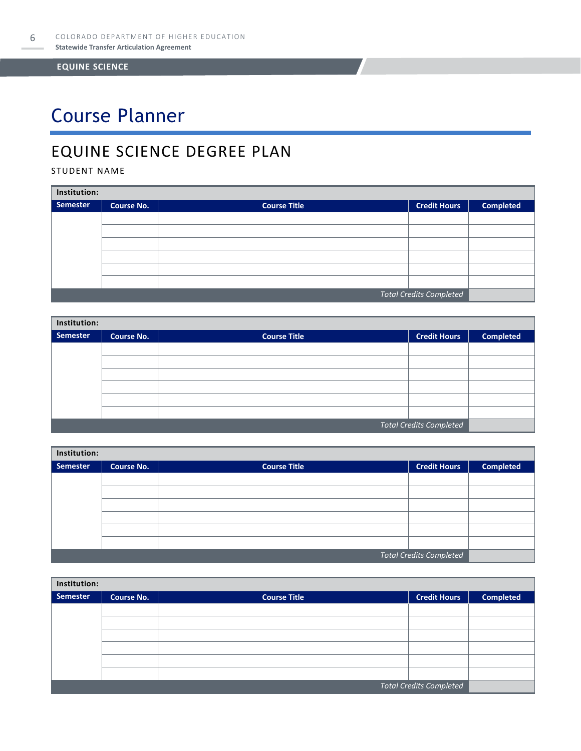# Course Planner

### EQUINE SCIENCE DEGREE PLAN

STUDENT NAME

| Institution:                   |                   |                     |                     |                  |  |  |
|--------------------------------|-------------------|---------------------|---------------------|------------------|--|--|
| Semester                       | <b>Course No.</b> | <b>Course Title</b> | <b>Credit Hours</b> | <b>Completed</b> |  |  |
|                                |                   |                     |                     |                  |  |  |
|                                |                   |                     |                     |                  |  |  |
|                                |                   |                     |                     |                  |  |  |
|                                |                   |                     |                     |                  |  |  |
|                                |                   |                     |                     |                  |  |  |
|                                |                   |                     |                     |                  |  |  |
| <b>Total Credits Completed</b> |                   |                     |                     |                  |  |  |

| Institution:                   |                   |                     |                     |                  |  |  |
|--------------------------------|-------------------|---------------------|---------------------|------------------|--|--|
| Semester                       | <b>Course No.</b> | <b>Course Title</b> | <b>Credit Hours</b> | <b>Completed</b> |  |  |
|                                |                   |                     |                     |                  |  |  |
|                                |                   |                     |                     |                  |  |  |
|                                |                   |                     |                     |                  |  |  |
|                                |                   |                     |                     |                  |  |  |
|                                |                   |                     |                     |                  |  |  |
|                                |                   |                     |                     |                  |  |  |
| <b>Total Credits Completed</b> |                   |                     |                     |                  |  |  |

| Institution: |            |                     |                                |                  |  |  |
|--------------|------------|---------------------|--------------------------------|------------------|--|--|
| Semester     | Course No. | <b>Course Title</b> | <b>Credit Hours</b>            | <b>Completed</b> |  |  |
|              |            |                     |                                |                  |  |  |
|              |            |                     |                                |                  |  |  |
|              |            |                     |                                |                  |  |  |
|              |            |                     |                                |                  |  |  |
|              |            |                     |                                |                  |  |  |
|              |            |                     |                                |                  |  |  |
|              |            |                     | <b>Total Credits Completed</b> |                  |  |  |

| Institution: |                         |                     |                     |                  |  |  |
|--------------|-------------------------|---------------------|---------------------|------------------|--|--|
| Semester     | <b>Course No.</b>       | <b>Course Title</b> | <b>Credit Hours</b> | <b>Completed</b> |  |  |
|              |                         |                     |                     |                  |  |  |
|              |                         |                     |                     |                  |  |  |
|              |                         |                     |                     |                  |  |  |
|              |                         |                     |                     |                  |  |  |
|              |                         |                     |                     |                  |  |  |
|              |                         |                     |                     |                  |  |  |
|              | Total Credits Completed |                     |                     |                  |  |  |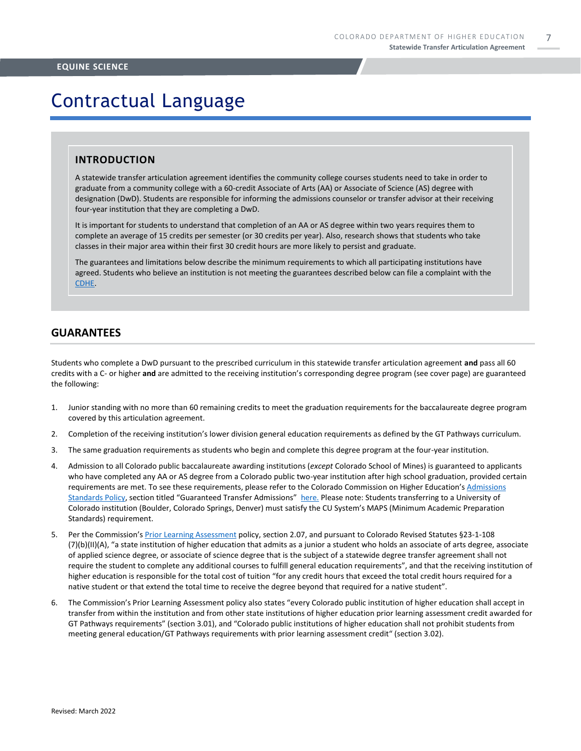## Contractual Language

#### **INTRODUCTION**

A statewide transfer articulation agreement identifies the community college courses students need to take in order to graduate from a community college with a 60-credit Associate of Arts (AA) or Associate of Science (AS) degree with designation (DwD). Students are responsible for informing the admissions counselor or transfer advisor at their receiving four-year institution that they are completing a DwD.

It is important for students to understand that completion of an AA or AS degree within two years requires them to complete an average of 15 credits per semester (or 30 credits per year). Also, research shows that students who take classes in their major area within their first 30 credit hours are more likely to persist and graduate.

The guarantees and limitations below describe the minimum requirements to which all participating institutions have agreed. Students who believe an institution is not meeting the guarantees described below can file a complaint with the [CDHE.](https://highered.colorado.gov/filing-student-complaint)

### **GUARANTEES**

Students who complete a DwD pursuant to the prescribed curriculum in this statewide transfer articulation agreement **and** pass all 60 credits with a C- or higher **and** are admitted to the receiving institution's corresponding degree program (see cover page) are guaranteed the following:

- 1. Junior standing with no more than 60 remaining credits to meet the graduation requirements for the baccalaureate degree program covered by this articulation agreement.
- 2. Completion of the receiving institution's lower division general education requirements as defined by the GT Pathways curriculum.
- 3. The same graduation requirements as students who begin and complete this degree program at the four-year institution.
- 4. Admission to all Colorado public baccalaureate awarding institutions (*except* Colorado School of Mines) is guaranteed to applicants who have completed any AA or AS degree from a Colorado public two-year institution after high school graduation, provided certain requirements are met. To see these requirements, please refer to the Colorado Commission on Higher Education's [Admissions](https://highered.colorado.gov/sites/highered/files/2020-03/i-partf_0.pdf)  [Standards Policy](https://highered.colorado.gov/sites/highered/files/2020-03/i-partf_0.pdf), section titled "Guaranteed Transfer Admissions" [here.](https://highered.colorado.gov/educators/policy-funding/cche-policies-procedures) Please note: Students transferring to a University of Colorado institution (Boulder, Colorado Springs, Denver) must satisfy the CU System's MAPS (Minimum Academic Preparation Standards) requirement.
- 5. Per the Commission's [Prior Learning Assessment](https://highered.colorado.gov/sites/highered/files/2020-03/i-partx.pdf) policy, section 2.07, and pursuant to Colorado Revised Statutes §23-1-108 (7)(b)(II)(A), "a state institution of higher education that admits as a junior a student who holds an associate of arts degree, associate of applied science degree, or associate of science degree that is the subject of a statewide degree transfer agreement shall not require the student to complete any additional courses to fulfill general education requirements", and that the receiving institution of higher education is responsible for the total cost of tuition "for any credit hours that exceed the total credit hours required for a native student or that extend the total time to receive the degree beyond that required for a native student".
- 6. The Commission's Prior Learning Assessment policy also states "every Colorado public institution of higher education shall accept in transfer from within the institution and from other state institutions of higher education prior learning assessment credit awarded for GT Pathways requirements" (section 3.01), and "Colorado public institutions of higher education shall not prohibit students from meeting general education/GT Pathways requirements with prior learning assessment credit" (section 3.02).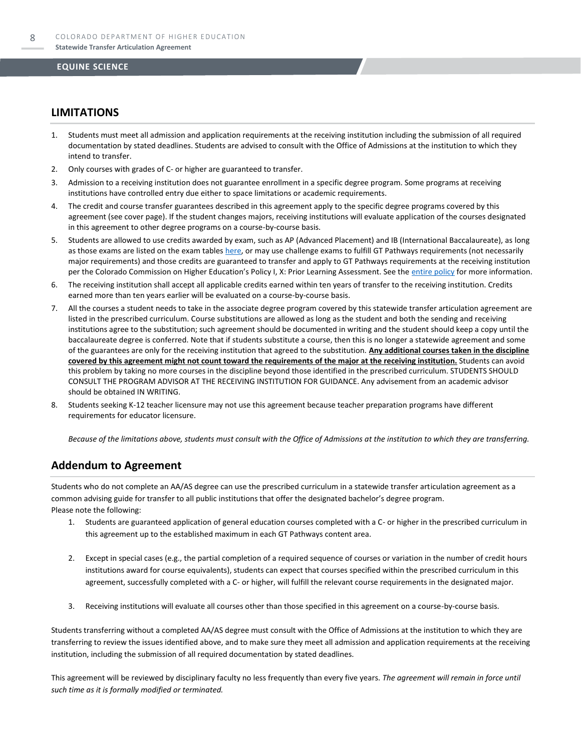### **LIMITATIONS**

- 1. Students must meet all admission and application requirements at the receiving institution including the submission of all required documentation by stated deadlines. Students are advised to consult with the Office of Admissions at the institution to which they intend to transfer.
- 2. Only courses with grades of C- or higher are guaranteed to transfer.
- 3. Admission to a receiving institution does not guarantee enrollment in a specific degree program. Some programs at receiving institutions have controlled entry due either to space limitations or academic requirements.
- 4. The credit and course transfer guarantees described in this agreement apply to the specific degree programs covered by this agreement (see cover page). If the student changes majors, receiving institutions will evaluate application of the courses designated in this agreement to other degree programs on a course-by-course basis.
- 5. Students are allowed to use credits awarded by exam, such as AP (Advanced Placement) and IB (International Baccalaureate), as long as those exams are listed on the exam table[s here,](https://highered.colorado.gov/get-credit-for-what-you-already-know) or may use challenge exams to fulfill GT Pathways requirements (not necessarily major requirements) and those credits are guaranteed to transfer and apply to GT Pathways requirements at the receiving institution per the Colorado Commission on Higher Education's Policy I, X: Prior Learning Assessment. See the [entire policy](https://highered.colorado.gov/sites/highered/files/2020-03/i-partx.pdf) for more information.
- 6. The receiving institution shall accept all applicable credits earned within ten years of transfer to the receiving institution. Credits earned more than ten years earlier will be evaluated on a course-by-course basis.
- 7. All the courses a student needs to take in the associate degree program covered by this statewide transfer articulation agreement are listed in the prescribed curriculum. Course substitutions are allowed as long as the student and both the sending and receiving institutions agree to the substitution; such agreement should be documented in writing and the student should keep a copy until the baccalaureate degree is conferred. Note that if students substitute a course, then this is no longer a statewide agreement and some of the guarantees are only for the receiving institution that agreed to the substitution. **Any additional courses taken in the discipline covered by this agreement might not count toward the requirements of the major at the receiving institution.** Students can avoid this problem by taking no more courses in the discipline beyond those identified in the prescribed curriculum. STUDENTS SHOULD CONSULT THE PROGRAM ADVISOR AT THE RECEIVING INSTITUTION FOR GUIDANCE. Any advisement from an academic advisor should be obtained IN WRITING.
- Students seeking K-12 teacher licensure may not use this agreement because teacher preparation programs have different requirements for educator licensure.

*Because of the limitations above, students must consult with the Office of Admissions at the institution to which they are transferring.*

### **Addendum to Agreement**

Students who do not complete an AA/AS degree can use the prescribed curriculum in a statewide transfer articulation agreement as a common advising guide for transfer to all public institutions that offer the designated bachelor's degree program. Please note the following:

- 1. Students are guaranteed application of general education courses completed with a C- or higher in the prescribed curriculum in this agreement up to the established maximum in each GT Pathways content area.
- 2. Except in special cases (e.g., the partial completion of a required sequence of courses or variation in the number of credit hours institutions award for course equivalents), students can expect that courses specified within the prescribed curriculum in this agreement, successfully completed with a C- or higher, will fulfill the relevant course requirements in the designated major.
- 3. Receiving institutions will evaluate all courses other than those specified in this agreement on a course-by-course basis.

Students transferring without a completed AA/AS degree must consult with the Office of Admissions at the institution to which they are transferring to review the issues identified above, and to make sure they meet all admission and application requirements at the receiving institution, including the submission of all required documentation by stated deadlines.

This agreement will be reviewed by disciplinary faculty no less frequently than every five years. *The agreement will remain in force until such time as it is formally modified or terminated.*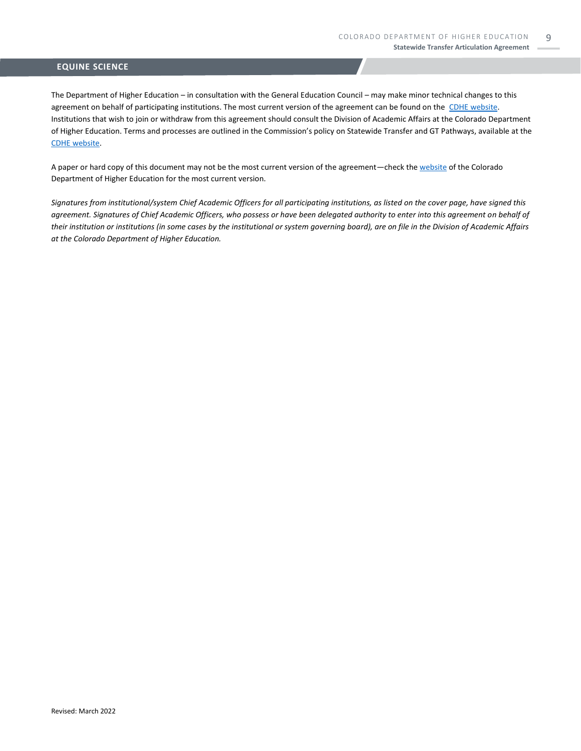The Department of Higher Education – in consultation with the General Education Council – may make minor technical changes to this agreement on behalf of participating institutions. The most current version of the agreement can be found on the [CDHE website.](https://highered.colorado.gov/transfer-degrees) Institutions that wish to join or withdraw from this agreement should consult the Division of Academic Affairs at the Colorado Department of Higher Education. Terms and processes are outlined in the Commission's policy on Statewide Transfer and GT Pathways, available at the [CDHE website.](https://highered.colorado.gov/educators/policy-funding/general-education-ge-council/gtpathways/transfer-agreements)

A paper or hard copy of this document may not be the most current version of the agreement—check th[e website](https://highered.colorado.gov/transfer-degrees) of the Colorado Department of Higher Education for the most current version.

*Signatures from institutional/system Chief Academic Officers for all participating institutions, as listed on the cover page, have signed this agreement. Signatures of Chief Academic Officers, who possess or have been delegated authority to enter into this agreement on behalf of their institution or institutions (in some cases by the institutional or system governing board), are on file in the Division of Academic Affairs at the Colorado Department of Higher Education.*